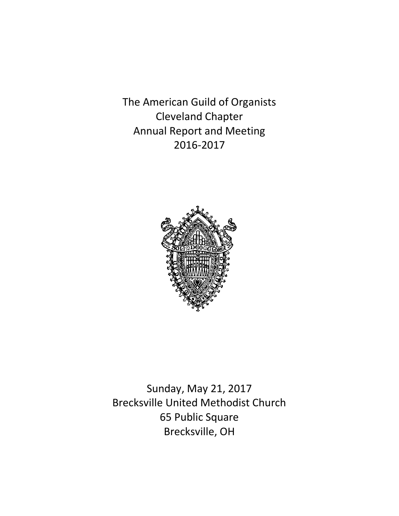The American Guild of Organists Cleveland Chapter Annual Report and Meeting 2016-2017



Sunday, May 21, 2017 Brecksville United Methodist Church 65 Public Square Brecksville, OH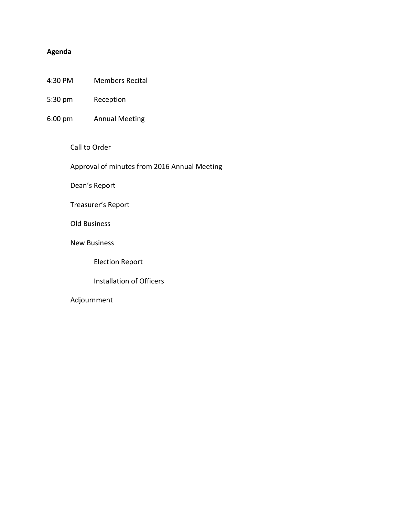# **Agenda**

- 4:30 PM Members Recital
- 5:30 pm Reception
- 6:00 pm Annual Meeting

#### Call to Order

Approval of minutes from 2016 Annual Meeting

Dean's Report

## Treasurer's Report

## Old Business

New Business

Election Report

## Installation of Officers

## Adjournment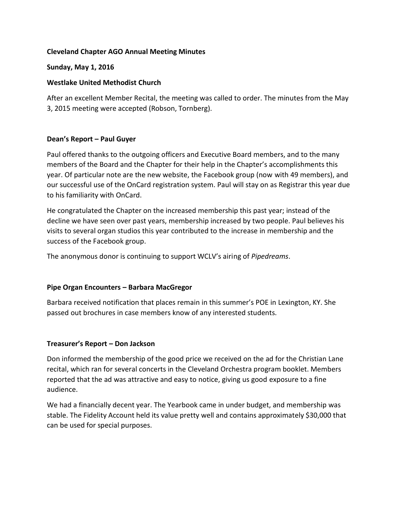## **Cleveland Chapter AGO Annual Meeting Minutes**

#### **Sunday, May 1, 2016**

### **Westlake United Methodist Church**

After an excellent Member Recital, the meeting was called to order. The minutes from the May 3, 2015 meeting were accepted (Robson, Tornberg).

## **Dean's Report – Paul Guyer**

Paul offered thanks to the outgoing officers and Executive Board members, and to the many members of the Board and the Chapter for their help in the Chapter's accomplishments this year. Of particular note are the new website, the Facebook group (now with 49 members), and our successful use of the OnCard registration system. Paul will stay on as Registrar this year due to his familiarity with OnCard.

He congratulated the Chapter on the increased membership this past year; instead of the decline we have seen over past years, membership increased by two people. Paul believes his visits to several organ studios this year contributed to the increase in membership and the success of the Facebook group.

The anonymous donor is continuing to support WCLV's airing of *Pipedreams*.

#### **Pipe Organ Encounters – Barbara MacGregor**

Barbara received notification that places remain in this summer's POE in Lexington, KY. She passed out brochures in case members know of any interested students.

#### **Treasurer's Report – Don Jackson**

Don informed the membership of the good price we received on the ad for the Christian Lane recital, which ran for several concerts in the Cleveland Orchestra program booklet. Members reported that the ad was attractive and easy to notice, giving us good exposure to a fine audience.

We had a financially decent year. The Yearbook came in under budget, and membership was stable. The Fidelity Account held its value pretty well and contains approximately \$30,000 that can be used for special purposes.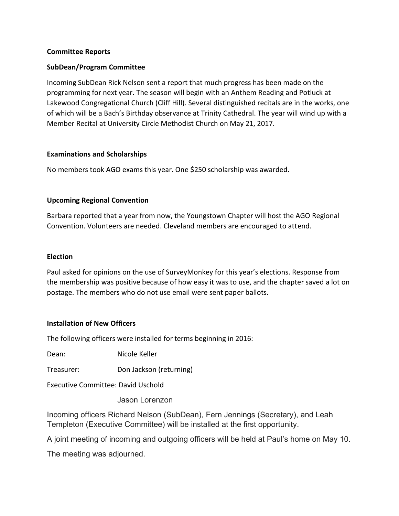### **Committee Reports**

## **SubDean/Program Committee**

Incoming SubDean Rick Nelson sent a report that much progress has been made on the programming for next year. The season will begin with an Anthem Reading and Potluck at Lakewood Congregational Church (Cliff Hill). Several distinguished recitals are in the works, one of which will be a Bach's Birthday observance at Trinity Cathedral. The year will wind up with a Member Recital at University Circle Methodist Church on May 21, 2017.

## **Examinations and Scholarships**

No members took AGO exams this year. One \$250 scholarship was awarded.

## **Upcoming Regional Convention**

Barbara reported that a year from now, the Youngstown Chapter will host the AGO Regional Convention. Volunteers are needed. Cleveland members are encouraged to attend.

#### **Election**

Paul asked for opinions on the use of SurveyMonkey for this year's elections. Response from the membership was positive because of how easy it was to use, and the chapter saved a lot on postage. The members who do not use email were sent paper ballots.

#### **Installation of New Officers**

The following officers were installed for terms beginning in 2016:

Dean: Nicole Keller

Treasurer: Don Jackson (returning)

Executive Committee: David Uschold

Jason Lorenzon

Incoming officers Richard Nelson (SubDean), Fern Jennings (Secretary), and Leah Templeton (Executive Committee) will be installed at the first opportunity.

A joint meeting of incoming and outgoing officers will be held at Paul's home on May 10.

The meeting was adjourned.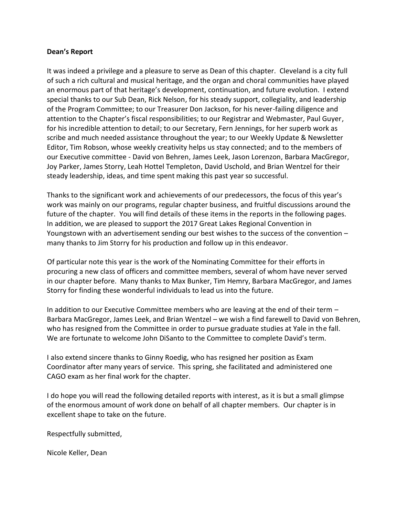#### **Dean's Report**

It was indeed a privilege and a pleasure to serve as Dean of this chapter. Cleveland is a city full of such a rich cultural and musical heritage, and the organ and choral communities have played an enormous part of that heritage's development, continuation, and future evolution. I extend special thanks to our Sub Dean, Rick Nelson, for his steady support, collegiality, and leadership of the Program Committee; to our Treasurer Don Jackson, for his never-failing diligence and attention to the Chapter's fiscal responsibilities; to our Registrar and Webmaster, Paul Guyer, for his incredible attention to detail; to our Secretary, Fern Jennings, for her superb work as scribe and much needed assistance throughout the year; to our Weekly Update & Newsletter Editor, Tim Robson, whose weekly creativity helps us stay connected; and to the members of our Executive committee - David von Behren, James Leek, Jason Lorenzon, Barbara MacGregor, Joy Parker, James Storry, Leah Hottel Templeton, David Uschold, and Brian Wentzel for their steady leadership, ideas, and time spent making this past year so successful.

Thanks to the significant work and achievements of our predecessors, the focus of this year's work was mainly on our programs, regular chapter business, and fruitful discussions around the future of the chapter. You will find details of these items in the reports in the following pages. In addition, we are pleased to support the 2017 Great Lakes Regional Convention in Youngstown with an advertisement sending our best wishes to the success of the convention – many thanks to Jim Storry for his production and follow up in this endeavor.

Of particular note this year is the work of the Nominating Committee for their efforts in procuring a new class of officers and committee members, several of whom have never served in our chapter before. Many thanks to Max Bunker, Tim Hemry, Barbara MacGregor, and James Storry for finding these wonderful individuals to lead us into the future.

In addition to our Executive Committee members who are leaving at the end of their term – Barbara MacGregor, James Leek, and Brian Wentzel – we wish a find farewell to David von Behren, who has resigned from the Committee in order to pursue graduate studies at Yale in the fall. We are fortunate to welcome John DiSanto to the Committee to complete David's term.

I also extend sincere thanks to Ginny Roedig, who has resigned her position as Exam Coordinator after many years of service. This spring, she facilitated and administered one CAGO exam as her final work for the chapter.

I do hope you will read the following detailed reports with interest, as it is but a small glimpse of the enormous amount of work done on behalf of all chapter members. Our chapter is in excellent shape to take on the future.

Respectfully submitted,

Nicole Keller, Dean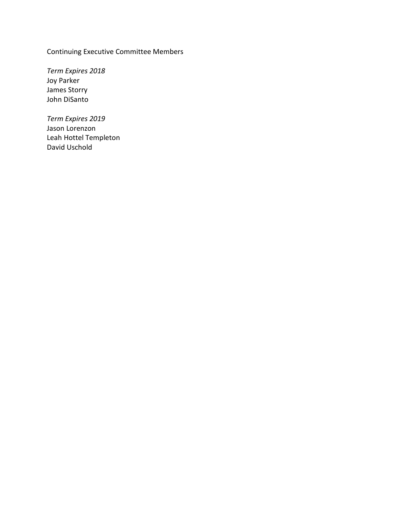Continuing Executive Committee Members

*Term Expires 2018* Joy Parker James Storry John DiSanto

*Term Expires 2019* Jason Lorenzon Leah Hottel Templeton David Uschold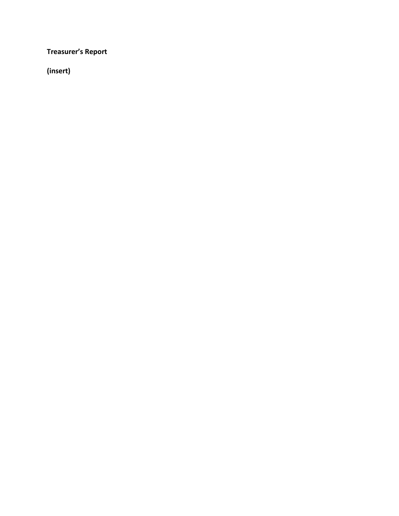**Treasurer's Report**

**(insert)**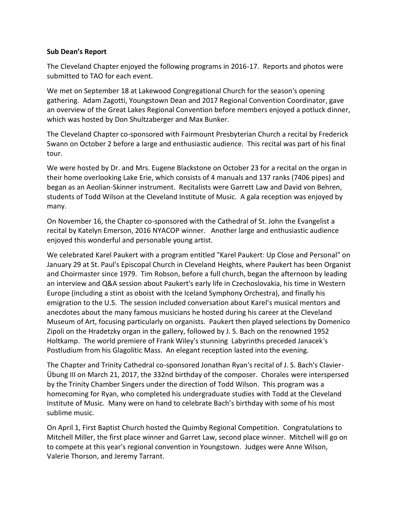#### **Sub Dean's Report**

The Cleveland Chapter enjoyed the following programs in 2016-17. Reports and photos were submitted to TAO for each event.

We met on September 18 at Lakewood Congregational Church for the season's opening gathering. Adam Zagotti, Youngstown Dean and 2017 Regional Convention Coordinator, gave an overview of the Great Lakes Regional Convention before members enjoyed a potluck dinner, which was hosted by Don Shultzaberger and Max Bunker.

The Cleveland Chapter co-sponsored with Fairmount Presbyterian Church a recital by Frederick Swann on October 2 before a large and enthusiastic audience. This recital was part of his final tour.

We were hosted by Dr. and Mrs. Eugene Blackstone on October 23 for a recital on the organ in their home overlooking Lake Erie, which consists of 4 manuals and 137 ranks (7406 pipes) and began as an Aeolian-Skinner instrument. Recitalists were Garrett Law and David von Behren, students of Todd Wilson at the Cleveland Institute of Music. A gala reception was enjoyed by many.

On November 16, the Chapter co-sponsored with the Cathedral of St. John the Evangelist a recital by Katelyn Emerson, 2016 NYACOP winner. Another large and enthusiastic audience enjoyed this wonderful and personable young artist.

We celebrated Karel Paukert with a program entitled "Karel Paukert: Up Close and Personal" on January 29 at St. Paul's Episcopal Church in Cleveland Heights, where Paukert has been Organist and Choirmaster since 1979. Tim Robson, before a full church, began the afternoon by leading an interview and Q&A session about Paukert's early life in Czechoslovakia, his time in Western Europe (including a stint as oboist with the Iceland Symphony Orchestra), and finally his emigration to the U.S. The session included conversation about Karel's musical mentors and anecdotes about the many famous musicians he hosted during his career at the Cleveland Museum of Art, focusing particularly on organists. Paukert then played selections by Domenico Zipoli on the Hradetzky organ in the gallery, followed by J. S. Bach on the renowned 1952 Holtkamp. The world premiere of Frank Wiley's stunning Labyrinths preceded Janacek's Postludium from his Glagolitic Mass. An elegant reception lasted into the evening.

The Chapter and Trinity Cathedral co-sponsored Jonathan Ryan's recital of J. S. Bach's Clavier-Übung III on March 21, 2017, the 332nd birthday of the composer. Chorales were interspersed by the Trinity Chamber Singers under the direction of Todd Wilson. This program was a homecoming for Ryan, who completed his undergraduate studies with Todd at the Cleveland Institute of Music. Many were on hand to celebrate Bach's birthday with some of his most sublime music.

On April 1, First Baptist Church hosted the Quimby Regional Competition. Congratulations to Mitchell Miller, the first place winner and Garret Law, second place winner. Mitchell will go on to compete at this year's regional convention in Youngstown. Judges were Anne Wilson, Valerie Thorson, and Jeremy Tarrant.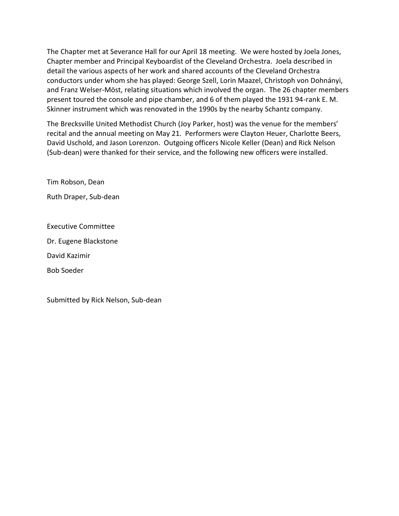The Chapter met at Severance Hall for our April 18 meeting. We were hosted by Joela Jones, Chapter member and Principal Keyboardist of the Cleveland Orchestra. Joela described in detail the various aspects of her work and shared accounts of the Cleveland Orchestra conductors under whom she has played: George Szell, Lorin Maazel, Christoph von Dohnányi, and Franz Welser-Möst, relating situations which involved the organ. The 26 chapter members present toured the console and pipe chamber, and 6 of them played the 1931 94-rank E. M. Skinner instrument which was renovated in the 1990s by the nearby Schantz company.

The Brecksville United Methodist Church (Joy Parker, host) was the venue for the members' recital and the annual meeting on May 21. Performers were Clayton Heuer, Charlotte Beers, David Uschold, and Jason Lorenzon. Outgoing officers Nicole Keller (Dean) and Rick Nelson (Sub-dean) were thanked for their service, and the following new officers were installed.

Tim Robson, Dean

Ruth Draper, Sub-dean

Executive Committee

Dr. Eugene Blackstone

David Kazimir

Bob Soeder

Submitted by Rick Nelson, Sub-dean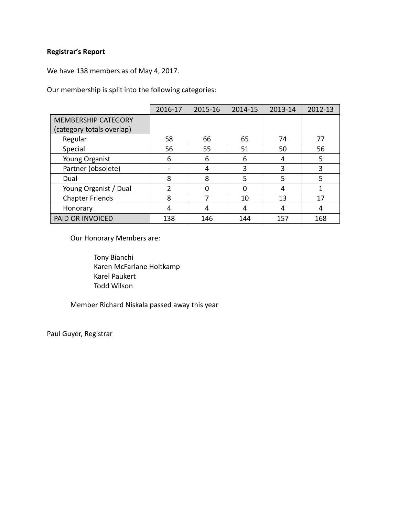# **Registrar's Report**

We have 138 members as of May 4, 2017.

Our membership is split into the following categories:

|                            | 2016-17        | 2015-16 | 2014-15 | 2013-14 | 2012-13 |
|----------------------------|----------------|---------|---------|---------|---------|
| <b>MEMBERSHIP CATEGORY</b> |                |         |         |         |         |
| (category totals overlap)  |                |         |         |         |         |
| Regular                    | 58             | 66      | 65      | 74      | 77      |
| Special                    | 56             | 55      | 51      | 50      | 56      |
| Young Organist             | 6              | 6       | 6       | 4       | 5       |
| Partner (obsolete)         |                | 4       | 3       | 3       | 3       |
| Dual                       | 8              | 8       | 5       | 5       | 5       |
| Young Organist / Dual      | $\overline{2}$ | 0       | 0       | 4       |         |
| <b>Chapter Friends</b>     | 8              | 7       | 10      | 13      | 17      |
| Honorary                   | 4              | 4       | 4       | 4       | 4       |
| PAID OR INVOICED           | 138            | 146     | 144     | 157     | 168     |

Our Honorary Members are:

Tony Bianchi Karen McFarlane Holtkamp Karel Paukert Todd Wilson

Member Richard Niskala passed away this year

Paul Guyer, Registrar